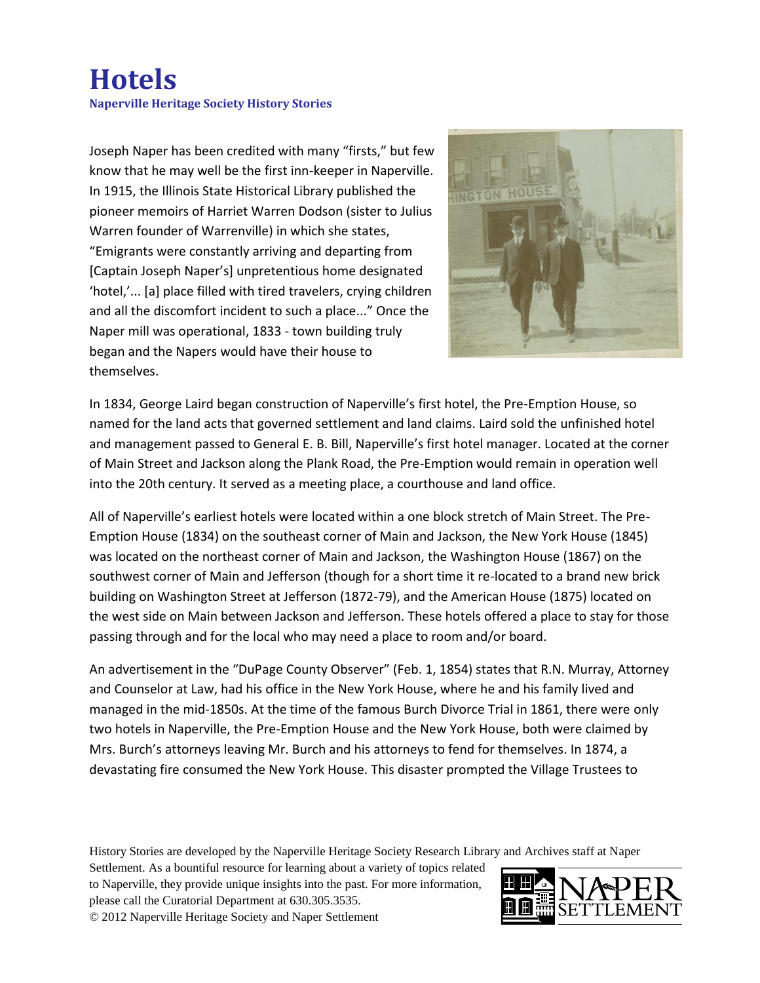## **Hotels Naperville Heritage Society History Stories**

Joseph Naper has been credited with many "firsts," but few know that he may well be the first inn-keeper in Naperville. In 1915, the Illinois State Historical Library published the pioneer memoirs of Harriet Warren Dodson (sister to Julius Warren founder of Warrenville) in which she states, "Emigrants were constantly arriving and departing from [Captain Joseph Naper's] unpretentious home designated 'hotel,'... [a] place filled with tired travelers, crying children and all the discomfort incident to such a place..." Once the Naper mill was operational, 1833 - town building truly began and the Napers would have their house to themselves.



In 1834, George Laird began construction of Naperville's first hotel, the Pre-Emption House, so named for the land acts that governed settlement and land claims. Laird sold the unfinished hotel and management passed to General E. B. Bill, Naperville's first hotel manager. Located at the corner of Main Street and Jackson along the Plank Road, the Pre-Emption would remain in operation well into the 20th century. It served as a meeting place, a courthouse and land office.

All of Naperville's earliest hotels were located within a one block stretch of Main Street. The Pre-Emption House (1834) on the southeast corner of Main and Jackson, the New York House (1845) was located on the northeast corner of Main and Jackson, the Washington House (1867) on the southwest corner of Main and Jefferson (though for a short time it re-located to a brand new brick building on Washington Street at Jefferson (1872-79), and the American House (1875) located on the west side on Main between Jackson and Jefferson. These hotels offered a place to stay for those passing through and for the local who may need a place to room and/or board.

An advertisement in the "DuPage County Observer" (Feb. 1, 1854) states that R.N. Murray, Attorney and Counselor at Law, had his office in the New York House, where he and his family lived and managed in the mid-1850s. At the time of the famous Burch Divorce Trial in 1861, there were only two hotels in Naperville, the Pre-Emption House and the New York House, both were claimed by Mrs. Burch's attorneys leaving Mr. Burch and his attorneys to fend for themselves. In 1874, a devastating fire consumed the New York House. This disaster prompted the Village Trustees to

History Stories are developed by the Naperville Heritage Society Research Library and Archives staff at Naper

Settlement. As a bountiful resource for learning about a variety of topics related to Naperville, they provide unique insights into the past. For more information, please call the Curatorial Department at 630.305.3535. © 2012 Naperville Heritage Society and Naper Settlement